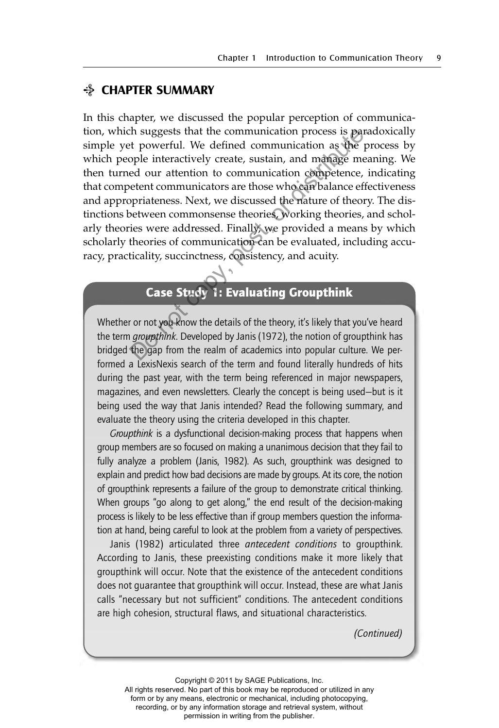# - **CHAPTER SUMMARY**

In this chapter, we discussed the popular perception of communication, which suggests that the communication process is paradoxically simple yet powerful. We defined communication as the process by which people interactively create, sustain, and manage meaning. We then turned our attention to communication competence, indicating that competent communicators are those who can balance effectiveness and appropriateness. Next, we discussed the nature of theory. The distinctions between commonsense theories, working theories, and scholarly theories were addressed. Finally, we provided a means by which scholarly theories of communication can be evaluated, including accuracy, practicality, succinctness, consistency, and acuity. The suggests that the communication process is part<br>the powerful. We defined communication as the p<br>ople interactively create, sustain, and manage mead<br>our attention to communication competence,<br>betent communicators are th

## **Case Study 1: Evaluating Groupthink**

Whether or not you know the details of the theory, it's likely that you've heard the term *groupthink*. Developed by Janis (1972), the notion of groupthink has bridged the gap from the realm of academics into popular culture. We performed a LexisNexis search of the term and found literally hundreds of hits during the past year, with the term being referenced in major newspapers, magazines, and even newsletters. Clearly the concept is being used—but is it being used the way that Janis intended? Read the following summary, and evaluate the theory using the criteria developed in this chapter.

*Groupthink* is a dysfunctional decision-making process that happens when group members are so focused on making a unanimous decision that they fail to fully analyze a problem (Janis, 1982). As such, groupthink was designed to explain and predict how bad decisions are made by groups. At its core, the notion of groupthink represents a failure of the group to demonstrate critical thinking. When groups "go along to get along," the end result of the decision-making process is likely to be less effective than if group members question the information at hand, being careful to look at the problem from a variety of perspectives.

Janis (1982) articulated three *antecedent conditions* to groupthink. According to Janis, these preexisting conditions make it more likely that groupthink will occur. Note that the existence of the antecedent conditions does not guarantee that groupthink will occur. Instead, these are what Janis calls "necessary but not sufficient" conditions. The antecedent conditions are high cohesion, structural flaws, and situational characteristics.

*(Continued)*

Copyright © 2011 by SAGE Publications, Inc. All rights reserved. No part of this book may be reproduced or utilized in any form or by any means, electronic or mechanical, including photocopying, recording, or by any information storage and retrieval system, without permission in writing from the publisher.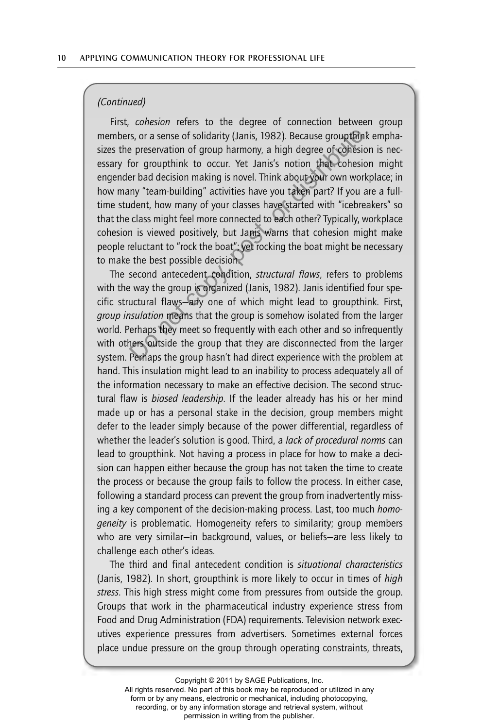#### *(Continued)*

First, *cohesion* refers to the degree of connection between group members, or a sense of solidarity (Janis, 1982). Because groupthink emphasizes the preservation of group harmony, a high degree of cohesion is necessary for groupthink to occur. Yet Janis's notion that cohesion might engender bad decision making is novel. Think about your own workplace; in how many "team-building" activities have you taken part? If you are a fulltime student, how many of your classes have started with "icebreakers" so that the class might feel more connected to each other? Typically, workplace cohesion is viewed positively, but Janis warns that cohesion might make people reluctant to "rock the boat"; yet rocking the boat might be necessary to make the best possible decision. In the preservation of group that they are disconnected from the percent<br>perferance of copy, a high degree of cohesio<br>for groupthink to occur. Yet Janis's notion that cohesio<br>for groupthink to occur. Yet Janis's notion tha

The second antecedent condition, *structural flaws*, refers to problems with the way the group is organized (Janis, 1982). Janis identified four specific structural flaws—any one of which might lead to groupthink. First, *group insulation* means that the group is somehow isolated from the larger world. Perhaps they meet so frequently with each other and so infrequently with others outside the group that they are disconnected from the larger system. Perhaps the group hasn't had direct experience with the problem at hand. This insulation might lead to an inability to process adequately all of the information necessary to make an effective decision. The second structural flaw is *biased leadership*. If the leader already has his or her mind made up or has a personal stake in the decision, group members might defer to the leader simply because of the power differential, regardless of whether the leader's solution is good. Third, a *lack of procedural norms* can lead to groupthink. Not having a process in place for how to make a decision can happen either because the group has not taken the time to create the process or because the group fails to follow the process. In either case, following a standard process can prevent the group from inadvertently missing a key component of the decision-making process. Last, too much *homogeneity* is problematic. Homogeneity refers to similarity; group members who are very similar—in background, values, or beliefs—are less likely to challenge each other's ideas.

The third and final antecedent condition is *situational characteristics* (Janis, 1982). In short, groupthink is more likely to occur in times of *high stress*. This high stress might come from pressures from outside the group. Groups that work in the pharmaceutical industry experience stress from Food and Drug Administration (FDA) requirements. Television network executives experience pressures from advertisers. Sometimes external forces place undue pressure on the group through operating constraints, threats,

form or by any means, electronic or mechanical, including photocopying, recording, or by any information storage and retrieval system, without permission in writing from the publisher.

Copyright © 2011 by SAGE Publications, Inc. All rights reserved. No part of this book may be reproduced or utilized in any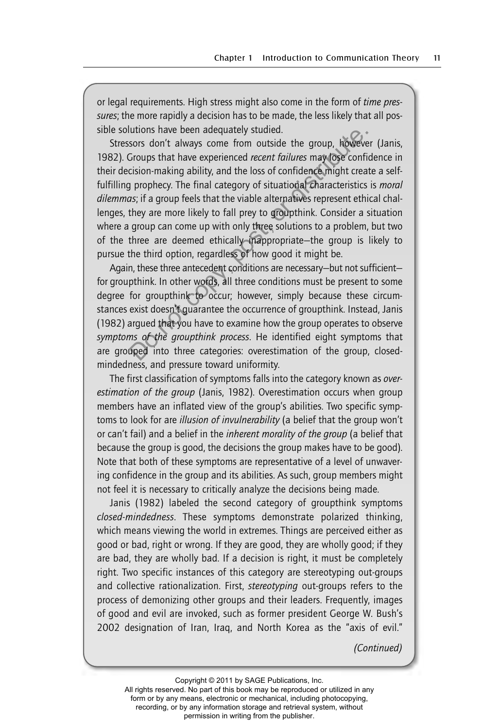or legal requirements. High stress might also come in the form of *time pressures*; the more rapidly a decision has to be made, the less likely that all possible solutions have been adequately studied.

Stressors don't always come from outside the group, however (Janis, 1982). Groups that have experienced *recent failures* may lose confidence in their decision-making ability, and the loss of confidence might create a selffulfilling prophecy. The final category of situational characteristics is *moral dilemmas*; if a group feels that the viable alternatives represent ethical challenges, they are more likely to fall prey to groupthink. Consider a situation where a group can come up with only three solutions to a problem, but two of the three are deemed ethically inappropriate—the group is likely to pursue the third option, regardless of how good it might be. utions have been adequately studied.<br>Sors don't always come from outside the group, howeve<br>Groups that have experienced *recent failures* may lose confic<br>ision-making ability, and the loss of confidence might crea<br>j prophe

Again, these three antecedent conditions are necessary—but not sufficient for groupthink. In other words, all three conditions must be present to some degree for groupthink to occur; however, simply because these circumstances exist doesn't guarantee the occurrence of groupthink. Instead, Janis (1982) argued that you have to examine how the group operates to observe *symptoms of the groupthink process*. He identified eight symptoms that are grouped into three categories: overestimation of the group, closedmindedness, and pressure toward uniformity.

The first classification of symptoms falls into the category known as *overestimation of the group* (Janis, 1982). Overestimation occurs when group members have an inflated view of the group's abilities. Two specific symptoms to look for are *illusion of invulnerability* (a belief that the group won't or can't fail) and a belief in the *inherent morality of the group* (a belief that because the group is good, the decisions the group makes have to be good). Note that both of these symptoms are representative of a level of unwavering confidence in the group and its abilities. As such, group members might not feel it is necessary to critically analyze the decisions being made.

Janis (1982) labeled the second category of groupthink symptoms *closed-mindedness*. These symptoms demonstrate polarized thinking, which means viewing the world in extremes. Things are perceived either as good or bad, right or wrong. If they are good, they are wholly good; if they are bad, they are wholly bad. If a decision is right, it must be completely right. Two specific instances of this category are stereotyping out-groups and collective rationalization. First, *stereotyping* out-groups refers to the process of demonizing other groups and their leaders. Frequently, images of good and evil are invoked, such as former president George W. Bush's 2002 designation of Iran, Iraq, and North Korea as the "axis of evil."

*(Continued)*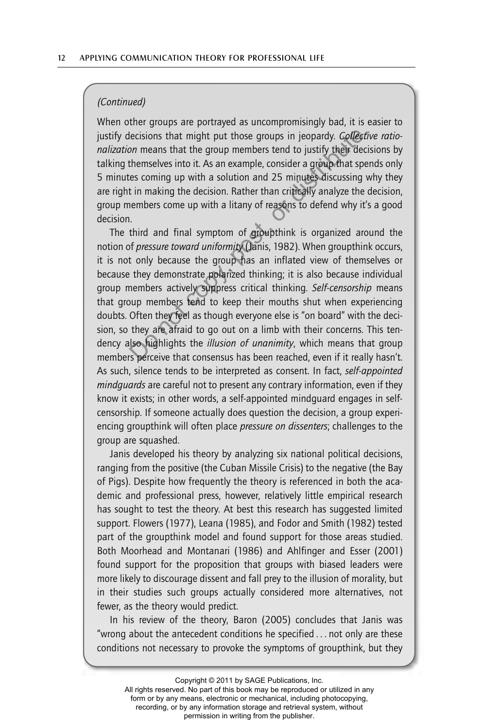#### *(Continued)*

When other groups are portrayed as uncompromisingly bad, it is easier to justify decisions that might put those groups in jeopardy. *Collective rationalization* means that the group members tend to justify their decisions by talking themselves into it. As an example, consider a group that spends only 5 minutes coming up with a solution and 25 minutes discussing why they are right in making the decision. Rather than critically analyze the decision, group members come up with a litany of reasons to defend why it's a good decision.

The third and final symptom of groupthink is organized around the notion of *pressure toward uniformity* (Janis, 1982). When groupthink occurs, it is not only because the group has an inflated view of themselves or because they demonstrate polarized thinking; it is also because individual group members actively suppress critical thinking. *Self-censorship* means that group members tend to keep their mouths shut when experiencing doubts. Often they feel as though everyone else is "on board" with the decision, so they are afraid to go out on a limb with their concerns. This tendency also highlights the *illusion of unanimity*, which means that group members perceive that consensus has been reached, even if it really hasn't. As such, silence tends to be interpreted as consent. In fact, *self-appointed mindguards* are careful not to present any contrary information, even if they know it exists; in other words, a self-appointed mindguard engages in selfcensorship. If someone actually does question the decision, a group experiencing groupthink will often place *pressure on dissenters*; challenges to the group are squashed. lecisions that might put those groups in jeopardy. *Collection* means that the group members tend to justify their decithemselves into it. As an example, consider a group that spees coming up with a solution and 25 minutes

Janis developed his theory by analyzing six national political decisions, ranging from the positive (the Cuban Missile Crisis) to the negative (the Bay of Pigs). Despite how frequently the theory is referenced in both the academic and professional press, however, relatively little empirical research has sought to test the theory. At best this research has suggested limited support. Flowers (1977), Leana (1985), and Fodor and Smith (1982) tested part of the groupthink model and found support for those areas studied. Both Moorhead and Montanari (1986) and Ahlfinger and Esser (2001) found support for the proposition that groups with biased leaders were more likely to discourage dissent and fall prey to the illusion of morality, but in their studies such groups actually considered more alternatives, not fewer, as the theory would predict.

In his review of the theory, Baron (2005) concludes that Janis was "wrong about the antecedent conditions he specified ... not only are these conditions not necessary to provoke the symptoms of groupthink, but they

All rights reserved. No part of this book may be reproduced or utilized in any form or by any means, electronic or mechanical, including photocopying, recording, or by any information storage and retrieval system, without permission in writing from the publisher.

Copyright © 2011 by SAGE Publications, Inc.